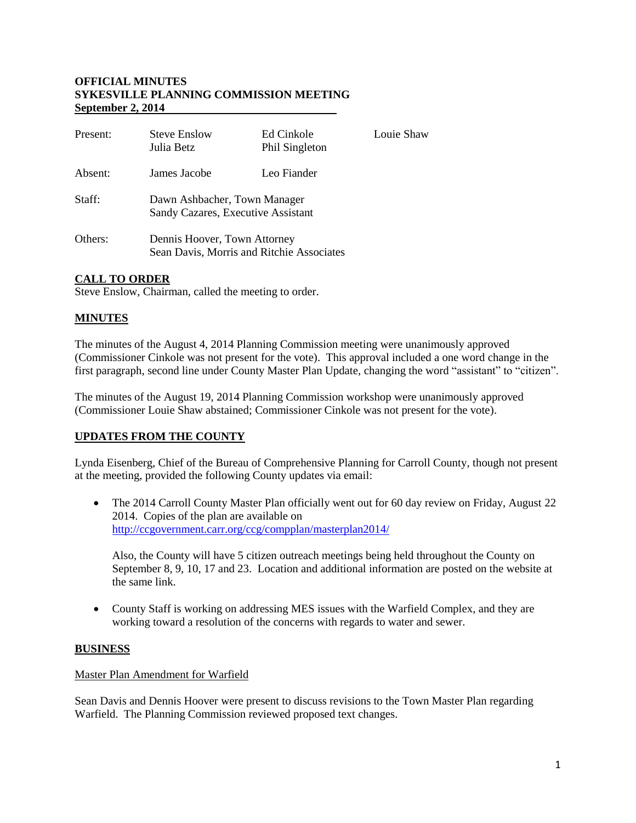### **OFFICIAL MINUTES SYKESVILLE PLANNING COMMISSION MEETING September 2, 2014**

| Present: | <b>Steve Enslow</b><br>Julia Betz                                         | Ed Cinkole<br>Phil Singleton | Louie Shaw |
|----------|---------------------------------------------------------------------------|------------------------------|------------|
| Absent:  | James Jacobe                                                              | Leo Fiander                  |            |
| Staff:   | Dawn Ashbacher, Town Manager<br>Sandy Cazares, Executive Assistant        |                              |            |
| Others:  | Dennis Hoover, Town Attorney<br>Sean Davis, Morris and Ritchie Associates |                              |            |

# **CALL TO ORDER**

Steve Enslow, Chairman, called the meeting to order.

# **MINUTES**

The minutes of the August 4, 2014 Planning Commission meeting were unanimously approved (Commissioner Cinkole was not present for the vote). This approval included a one word change in the first paragraph, second line under County Master Plan Update, changing the word "assistant" to "citizen".

The minutes of the August 19, 2014 Planning Commission workshop were unanimously approved (Commissioner Louie Shaw abstained; Commissioner Cinkole was not present for the vote).

# **UPDATES FROM THE COUNTY**

Lynda Eisenberg, Chief of the Bureau of Comprehensive Planning for Carroll County, though not present at the meeting, provided the following County updates via email:

• The 2014 Carroll County Master Plan officially went out for 60 day review on Friday, August 22 2014. Copies of the plan are available on <http://ccgovernment.carr.org/ccg/compplan/masterplan2014/>

Also, the County will have 5 citizen outreach meetings being held throughout the County on September 8, 9, 10, 17 and 23. Location and additional information are posted on the website at the same link.

 County Staff is working on addressing MES issues with the Warfield Complex, and they are working toward a resolution of the concerns with regards to water and sewer.

#### **BUSINESS**

#### Master Plan Amendment for Warfield

Sean Davis and Dennis Hoover were present to discuss revisions to the Town Master Plan regarding Warfield. The Planning Commission reviewed proposed text changes.